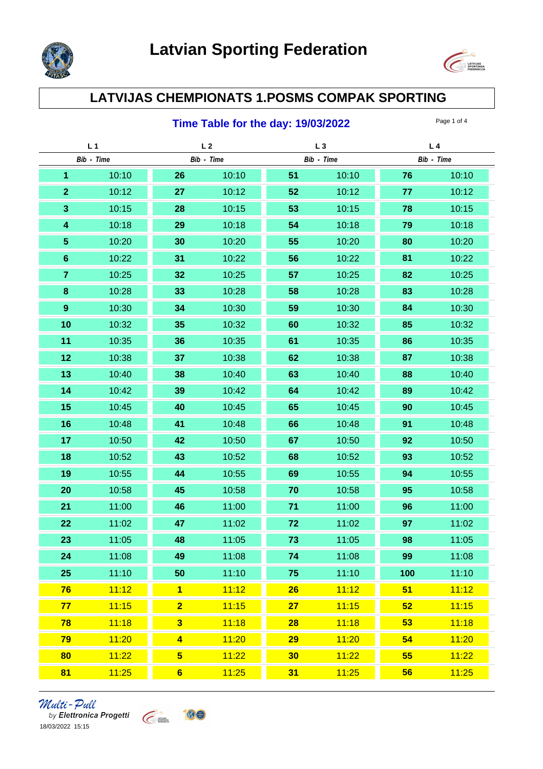



## **LATVIJAS CHEMPIONATS 1.POSMS COMPAK SPORTING**

### **Time Table for the day: 19/03/2022** Page 1 of 4

|                                        |            |             | L <sub>4</sub> |
|----------------------------------------|------------|-------------|----------------|
| Bib - Time                             | Bib - Time | Bib - Time  | Bib - Time     |
| $\overline{\mathbf{1}}$<br>10:10<br>26 | 10:10      | 51<br>10:10 | 76<br>10:10    |
| 10:12<br>27<br>$\overline{2}$          | 10:12      | 52<br>10:12 | 77<br>10:12    |
| $\mathbf{3}$<br>10:15<br>28            | 10:15      | 53<br>10:15 | 78<br>10:15    |
| $\overline{\mathbf{4}}$<br>10:18<br>29 | 10:18      | 54<br>10:18 | 79<br>10:18    |
| $\sqrt{5}$<br>10:20<br>30              | 10:20      | 55<br>10:20 | 80<br>10:20    |
| $6\phantom{1}$<br>10:22<br>31          | 10:22      | 56<br>10:22 | 10:22<br>81    |
| $\overline{7}$<br>10:25<br>32          | 10:25      | 57<br>10:25 | 82<br>10:25    |
| 8<br>10:28<br>33                       | 10:28      | 58<br>10:28 | 83<br>10:28    |
| $9\,$<br>10:30<br>34                   | 10:30      | 59<br>10:30 | 10:30<br>84    |
| 10<br>10:32<br>35                      | 10:32      | 60<br>10:32 | 10:32<br>85    |
| 11<br>10:35<br>36                      | 10:35      | 61<br>10:35 | 10:35<br>86    |
| 12<br>10:38<br>37                      | 10:38      | 62<br>10:38 | 10:38<br>87    |
| 13<br>10:40<br>38                      | 10:40      | 63<br>10:40 | 88<br>10:40    |
| 14<br>10:42<br>39                      | 10:42      | 64<br>10:42 | 89<br>10:42    |
| 15<br>40<br>10:45                      | 10:45      | 65<br>10:45 | 90<br>10:45    |
| 16<br>41<br>10:48                      | 10:48      | 66<br>10:48 | 91<br>10:48    |
| 42<br>17<br>10:50                      | 10:50      | 67<br>10:50 | 92<br>10:50    |
| 18<br>43<br>10:52                      | 10:52      | 68<br>10:52 | 93<br>10:52    |
| 19<br>10:55<br>44                      | 10:55      | 69<br>10:55 | 10:55<br>94    |
| 45<br>20<br>10:58                      | 10:58      | 70<br>10:58 | 95<br>10:58    |
| 21<br>11:00<br>46                      | 11:00      | 71<br>11:00 | 96<br>11:00    |
| 47<br>22<br>11:02                      | 11:02      | 72<br>11:02 | 97<br>11:02    |
| 23<br>48<br>11:05                      | 11:05      | 73<br>11:05 | 98<br>11:05    |
| 11:08<br>24<br>49                      | 11:08      | 11:08<br>74 | 11:08<br>99    |
| 11:10<br>50<br>25                      | 11:10      | 11:10<br>75 | 100<br>11:10   |
| $\overline{\mathbf{1}}$<br>76<br>11:12 | 11:12      | 11:12<br>26 | 11:12<br>51    |
| 11:15<br>$\overline{2}$<br>77          | 11:15      | 11:15<br>27 | 11:15<br>52    |
| $\overline{\mathbf{3}}$<br>11:18<br>78 | 11:18      | 11:18<br>28 | 11:18<br>53    |
| 11:20<br>79<br>$\blacktriangleleft$    | 11:20      | 11:20<br>29 | 11:20<br>54    |
| 11:22<br>$5\overline{)}$<br>80         | 11:22      | 11:22<br>30 | 11:22<br>55    |
| 81<br>11:25<br>$6\phantom{a}$          | 11:25      | 31<br>11:25 | 56<br>11:25    |

*Multi - Pull*<br>by Elettronica Progetti<br>18/03/2022 15:15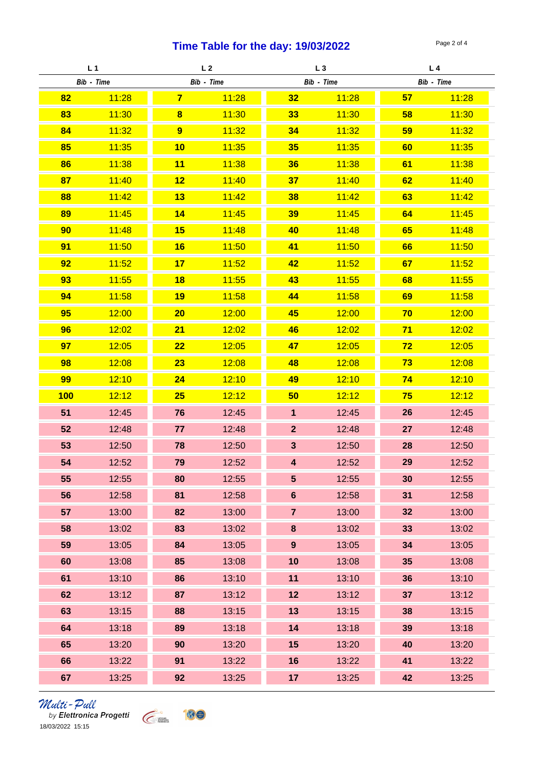## **Time Table for the day: 19/03/2022** Page 2 of 4

| L <sub>1</sub> |       | L <sub>2</sub> |       | $L_3$                   |       | L4         |       |
|----------------|-------|----------------|-------|-------------------------|-------|------------|-------|
| Bib - Time     |       | Bib - Time     |       | Bib - Time              |       | Bib - Time |       |
| 82             | 11:28 | $\overline{7}$ | 11:28 | 32                      | 11:28 | 57         | 11:28 |
| 83             | 11:30 | $\bf{8}$       | 11:30 | 33                      | 11:30 | 58         | 11:30 |
| 84             | 11:32 | 9              | 11:32 | 34                      | 11:32 | 59         | 11:32 |
| 85             | 11:35 | 10             | 11:35 | 35                      | 11:35 | 60         | 11:35 |
| 86             | 11:38 | 11             | 11:38 | 36                      | 11:38 | 61         | 11:38 |
| 87             | 11:40 | 12             | 11:40 | 37                      | 11:40 | 62         | 11:40 |
| 88             | 11:42 | 13             | 11:42 | 38                      | 11:42 | 63         | 11:42 |
| 89             | 11:45 | 14             | 11:45 | 39                      | 11:45 | 64         | 11:45 |
| 90             | 11:48 | 15             | 11:48 | 40                      | 11:48 | 65         | 11:48 |
| 91             | 11:50 | 16             | 11:50 | 41                      | 11:50 | 66         | 11:50 |
| 92             | 11:52 | 17             | 11:52 | 42                      | 11:52 | 67         | 11:52 |
| 93             | 11:55 | 18             | 11:55 | 43                      | 11:55 | 68         | 11:55 |
| 94             | 11:58 | 19             | 11:58 | 44                      | 11:58 | 69         | 11:58 |
| 95             | 12:00 | 20             | 12:00 | 45                      | 12:00 | 70         | 12:00 |
| 96             | 12:02 | 21             | 12:02 | 46                      | 12:02 | 71         | 12:02 |
| 97             | 12:05 | 22             | 12:05 | 47                      | 12:05 | 72         | 12:05 |
| 98             | 12:08 | 23             | 12:08 | 48                      | 12:08 | 73         | 12:08 |
| 99             | 12:10 | 24             | 12:10 | 49                      | 12:10 | 74         | 12:10 |
| 100            | 12:12 | 25             | 12:12 | 50                      | 12:12 | 75         | 12:12 |
| 51             | 12:45 | 76             | 12:45 | $\overline{1}$          | 12:45 | 26         | 12:45 |
| 52             | 12:48 | 77             | 12:48 | $\mathbf{2}$            | 12:48 | 27         | 12:48 |
| 53             | 12:50 | 78             | 12:50 | $\mathbf{3}$            | 12:50 | 28         | 12:50 |
| 54             | 12:52 | 79             | 12:52 | $\overline{\mathbf{4}}$ | 12:52 | 29         | 12:52 |
| 55             | 12:55 | 80             | 12:55 | $5\phantom{.0}$         | 12:55 | 30         | 12:55 |
| 56             | 12:58 | 81             | 12:58 | $\bf 6$                 | 12:58 | 31         | 12:58 |
| 57             | 13:00 | 82             | 13:00 | $\overline{7}$          | 13:00 | 32         | 13:00 |
| 58             | 13:02 | 83             | 13:02 | 8                       | 13:02 | 33         | 13:02 |
| 59             | 13:05 | 84             | 13:05 | 9                       | 13:05 | 34         | 13:05 |
| 60             | 13:08 | 85             | 13:08 | 10                      | 13:08 | 35         | 13:08 |
| 61             | 13:10 | 86             | 13:10 | 11                      | 13:10 | 36         | 13:10 |
| 62             | 13:12 | 87             | 13:12 | 12                      | 13:12 | 37         | 13:12 |
| 63             | 13:15 | 88             | 13:15 | 13                      | 13:15 | 38         | 13:15 |
| 64             | 13:18 | 89             | 13:18 | 14                      | 13:18 | 39         | 13:18 |
| 65             | 13:20 | 90             | 13:20 | 15                      | 13:20 | 40         | 13:20 |
| 66             | 13:22 | 91             | 13:22 | 16                      | 13:22 | 41         | 13:22 |
| 67             | 13:25 | 92             | 13:25 | 17                      | 13:25 | 42         | 13:25 |

# *Multi - Pull*<br>by Elettronica Progetti<br>18/03/2022 15:15

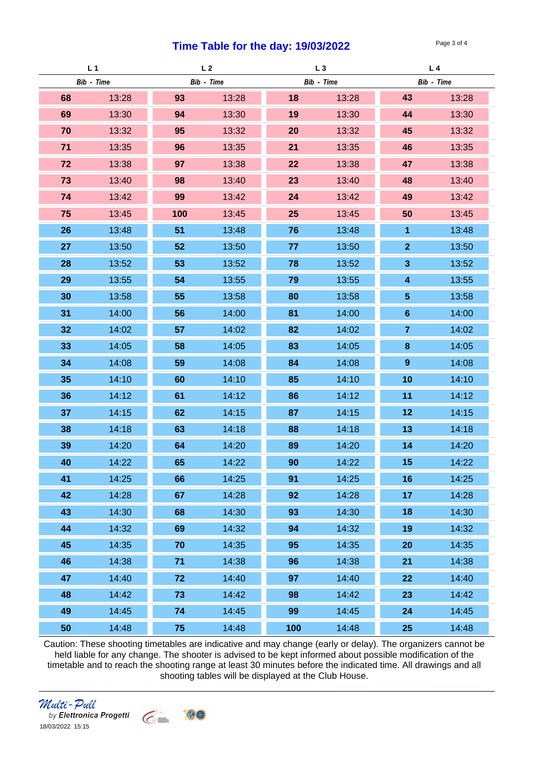#### **Time Table for the day: 19/03/2022** Page 3 of 4

| L <sub>1</sub> |       | L <sub>2</sub> |       | $L_3$      |       | L4               |       |
|----------------|-------|----------------|-------|------------|-------|------------------|-------|
| Bib - Time     |       | Bib - Time     |       | Bib - Time |       | Bib - Time       |       |
| 68             | 13:28 | 93             | 13:28 | 18         | 13:28 | 43               | 13:28 |
| 69             | 13:30 | 94             | 13:30 | 19         | 13:30 | 44               | 13:30 |
| 70             | 13:32 | 95             | 13:32 | 20         | 13:32 | 45               | 13:32 |
| 71             | 13:35 | 96             | 13:35 | 21         | 13:35 | 46               | 13:35 |
| 72             | 13:38 | 97             | 13:38 | 22         | 13:38 | 47               | 13:38 |
| 73             | 13:40 | 98             | 13:40 | 23         | 13:40 | 48               | 13:40 |
| 74             | 13:42 | 99             | 13:42 | 24         | 13:42 | 49               | 13:42 |
| 75             | 13:45 | 100            | 13:45 | 25         | 13:45 | 50               | 13:45 |
| 26             | 13:48 | 51             | 13:48 | 76         | 13:48 | $\overline{1}$   | 13:48 |
| 27             | 13:50 | 52             | 13:50 | 77         | 13:50 | $\mathbf{2}$     | 13:50 |
| 28             | 13:52 | 53             | 13:52 | 78         | 13:52 | $\mathbf{3}$     | 13:52 |
| 29             | 13:55 | 54             | 13:55 | 79         | 13:55 | 4                | 13:55 |
| 30             | 13:58 | 55             | 13:58 | 80         | 13:58 | 5                | 13:58 |
| 31             | 14:00 | 56             | 14:00 | 81         | 14:00 | $6\phantom{1}$   | 14:00 |
| 32             | 14:02 | 57             | 14:02 | 82         | 14:02 | 7                | 14:02 |
| 33             | 14:05 | 58             | 14:05 | 83         | 14:05 | 8                | 14:05 |
| 34             | 14:08 | 59             | 14:08 | 84         | 14:08 | $\boldsymbol{9}$ | 14:08 |
| 35             | 14:10 | 60             | 14:10 | 85         | 14:10 | 10               | 14:10 |
| 36             | 14:12 | 61             | 14:12 | 86         | 14:12 | 11               | 14:12 |
| 37             | 14:15 | 62             | 14:15 | 87         | 14:15 | 12               | 14:15 |
| 38             | 14:18 | 63             | 14:18 | 88         | 14:18 | 13               | 14:18 |
| 39             | 14:20 | 64             | 14:20 | 89         | 14:20 | 14               | 14:20 |
| 40             | 14:22 | 65             | 14:22 | 90         | 14:22 | 15               | 14:22 |
| 41             | 14:25 | 66             | 14:25 | 91         | 14:25 | 16               | 14:25 |
| 42             | 14:28 | 67             | 14:28 | 92         | 14:28 | 17               | 14:28 |
| 43             | 14:30 | 68             | 14:30 | 93         | 14:30 | 18               | 14:30 |
| 44             | 14:32 | 69             | 14:32 | 94         | 14:32 | 19               | 14:32 |
| 45             | 14:35 | 70             | 14:35 | 95         | 14:35 | 20               | 14:35 |
| 46             | 14:38 | 71             | 14:38 | 96         | 14:38 | 21               | 14:38 |
| 47             | 14:40 | 72             | 14:40 | 97         | 14:40 | 22               | 14:40 |
| 48             | 14:42 | 73             | 14:42 | 98         | 14:42 | 23               | 14:42 |
| 49             | 14:45 | 74             | 14:45 | 99         | 14:45 | 24               | 14:45 |
| 50             | 14:48 | 75             | 14:48 | 100        | 14:48 | 25               | 14:48 |

Caution: These shooting timetables are indicative and may change (early or delay). The organizers cannot be held liable for any change. The shooter is advised to be kept informed about possible modification of the timetable and to reach the shooting range at least 30 minutes before the indicated time. All drawings and all shooting tables will be displayed at the Club House.

**Round 1 Round 2 Round 3 Round 4 Round 5 Round 6 Round 7 Round 8**